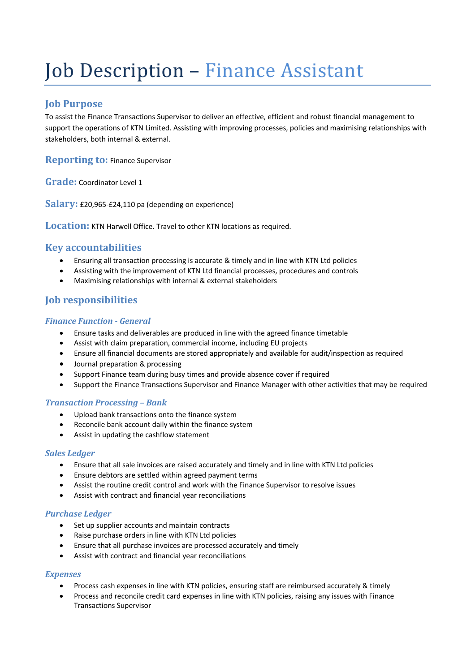# Job Description - Finance Assistant

## **Job Purpose**

To assist the Finance Transactions Supervisor to deliver an effective, efficient and robust financial management to support the operations of KTN Limited. Assisting with improving processes, policies and maximising relationships with stakeholders, both internal & external.

**Reporting to: Finance Supervisor** 

**Grade:** Coordinator Level 1

**Salary:** £20,965-£24,110 pa (depending on experience)

**Location:** KTN Harwell Office. Travel to other KTN locations as required.

## **Key accountabilities**

- Ensuring all transaction processing is accurate & timely and in line with KTN Ltd policies
- Assisting with the improvement of KTN Ltd financial processes, procedures and controls
- Maximising relationships with internal & external stakeholders

# **Job responsibilities**

#### *Finance Function - General*

- Ensure tasks and deliverables are produced in line with the agreed finance timetable
- Assist with claim preparation, commercial income, including EU projects
- Ensure all financial documents are stored appropriately and available for audit/inspection as required
- Journal preparation & processing
- Support Finance team during busy times and provide absence cover if required
- Support the Finance Transactions Supervisor and Finance Manager with other activities that may be required

#### *Transaction Processing – Bank*

- Upload bank transactions onto the finance system
- Reconcile bank account daily within the finance system
- Assist in updating the cashflow statement

## *Sales Ledger*

- Ensure that all sale invoices are raised accurately and timely and in line with KTN Ltd policies
- Ensure debtors are settled within agreed payment terms
- Assist the routine credit control and work with the Finance Supervisor to resolve issues
- Assist with contract and financial year reconciliations

#### *Purchase Ledger*

- Set up supplier accounts and maintain contracts
- Raise purchase orders in line with KTN Ltd policies
- Ensure that all purchase invoices are processed accurately and timely
- Assist with contract and financial year reconciliations

#### *Expenses*

- Process cash expenses in line with KTN policies, ensuring staff are reimbursed accurately & timely
- Process and reconcile credit card expenses in line with KTN policies, raising any issues with Finance Transactions Supervisor